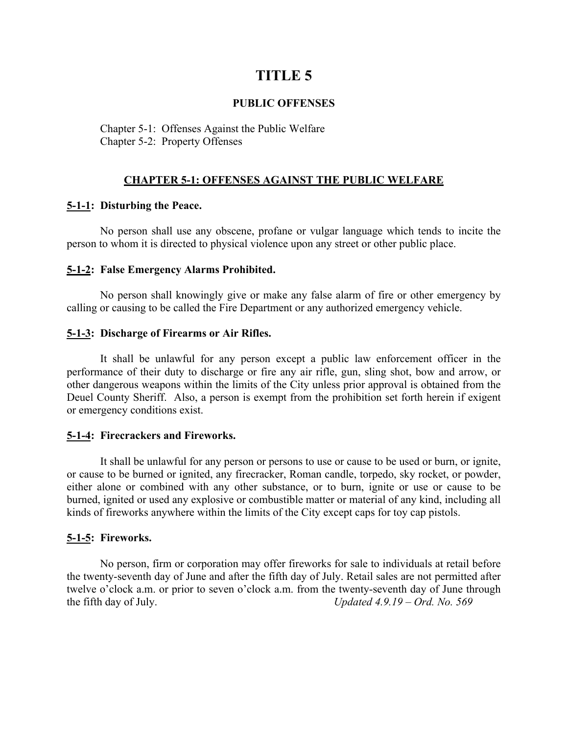# **TITLE 5**

# **PUBLIC OFFENSES**

Chapter 5-1: Offenses Against the Public Welfare Chapter 5-2: Property Offenses

## **CHAPTER 5-1: OFFENSES AGAINST THE PUBLIC WELFARE**

## **5-1-1: Disturbing the Peace.**

No person shall use any obscene, profane or vulgar language which tends to incite the person to whom it is directed to physical violence upon any street or other public place.

## **5-1-2: False Emergency Alarms Prohibited.**

No person shall knowingly give or make any false alarm of fire or other emergency by calling or causing to be called the Fire Department or any authorized emergency vehicle.

## **5-1-3: Discharge of Firearms or Air Rifles.**

It shall be unlawful for any person except a public law enforcement officer in the performance of their duty to discharge or fire any air rifle, gun, sling shot, bow and arrow, or other dangerous weapons within the limits of the City unless prior approval is obtained from the Deuel County Sheriff. Also, a person is exempt from the prohibition set forth herein if exigent or emergency conditions exist.

# **5-1-4: Firecrackers and Fireworks.**

It shall be unlawful for any person or persons to use or cause to be used or burn, or ignite, or cause to be burned or ignited, any firecracker, Roman candle, torpedo, sky rocket, or powder, either alone or combined with any other substance, or to burn, ignite or use or cause to be burned, ignited or used any explosive or combustible matter or material of any kind, including all kinds of fireworks anywhere within the limits of the City except caps for toy cap pistols.

# **5-1-5: Fireworks.**

No person, firm or corporation may offer fireworks for sale to individuals at retail before the twenty-seventh day of June and after the fifth day of July. Retail sales are not permitted after twelve o'clock a.m. or prior to seven o'clock a.m. from the twenty-seventh day of June through the fifth day of July. *Updated 4.9.19 – Ord. No. 569*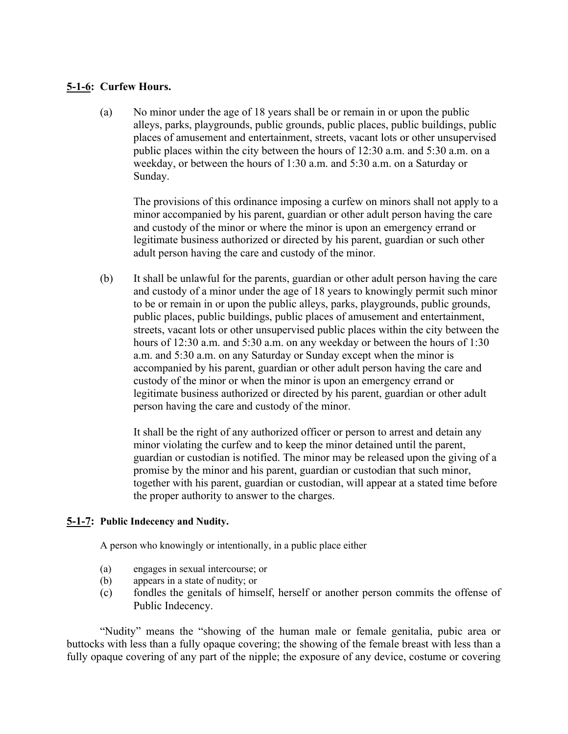# **5-1-6: Curfew Hours.**

(a) No minor under the age of 18 years shall be or remain in or upon the public alleys, parks, playgrounds, public grounds, public places, public buildings, public places of amusement and entertainment, streets, vacant lots or other unsupervised public places within the city between the hours of 12:30 a.m. and 5:30 a.m. on a weekday, or between the hours of 1:30 a.m. and 5:30 a.m. on a Saturday or Sunday.

The provisions of this ordinance imposing a curfew on minors shall not apply to a minor accompanied by his parent, guardian or other adult person having the care and custody of the minor or where the minor is upon an emergency errand or legitimate business authorized or directed by his parent, guardian or such other adult person having the care and custody of the minor.

(b) It shall be unlawful for the parents, guardian or other adult person having the care and custody of a minor under the age of 18 years to knowingly permit such minor to be or remain in or upon the public alleys, parks, playgrounds, public grounds, public places, public buildings, public places of amusement and entertainment, streets, vacant lots or other unsupervised public places within the city between the hours of 12:30 a.m. and 5:30 a.m. on any weekday or between the hours of 1:30 a.m. and 5:30 a.m. on any Saturday or Sunday except when the minor is accompanied by his parent, guardian or other adult person having the care and custody of the minor or when the minor is upon an emergency errand or legitimate business authorized or directed by his parent, guardian or other adult person having the care and custody of the minor.

It shall be the right of any authorized officer or person to arrest and detain any minor violating the curfew and to keep the minor detained until the parent, guardian or custodian is notified. The minor may be released upon the giving of a promise by the minor and his parent, guardian or custodian that such minor, together with his parent, guardian or custodian, will appear at a stated time before the proper authority to answer to the charges.

# **5-1-7: Public Indecency and Nudity.**

A person who knowingly or intentionally, in a public place either

- (a) engages in sexual intercourse; or
- (b) appears in a state of nudity; or
- (c) fondles the genitals of himself, herself or another person commits the offense of Public Indecency.

"Nudity" means the "showing of the human male or female genitalia, pubic area or buttocks with less than a fully opaque covering; the showing of the female breast with less than a fully opaque covering of any part of the nipple; the exposure of any device, costume or covering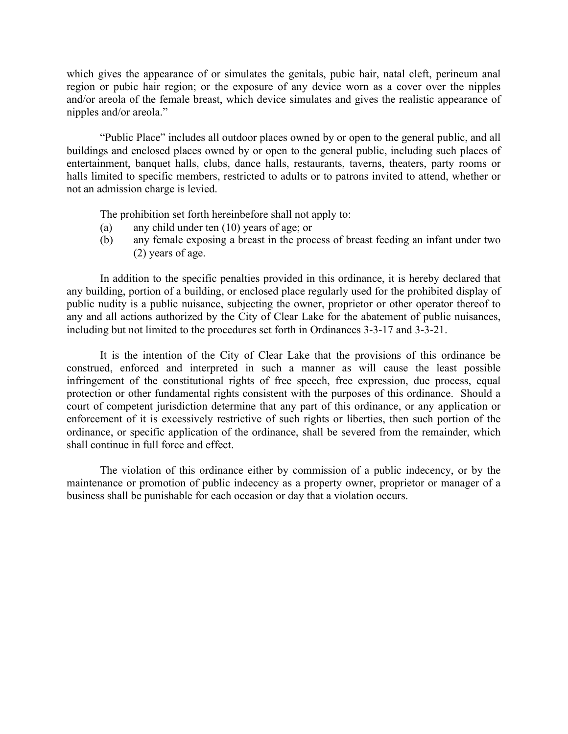which gives the appearance of or simulates the genitals, pubic hair, natal cleft, perineum anal region or pubic hair region; or the exposure of any device worn as a cover over the nipples and/or areola of the female breast, which device simulates and gives the realistic appearance of nipples and/or areola."

"Public Place" includes all outdoor places owned by or open to the general public, and all buildings and enclosed places owned by or open to the general public, including such places of entertainment, banquet halls, clubs, dance halls, restaurants, taverns, theaters, party rooms or halls limited to specific members, restricted to adults or to patrons invited to attend, whether or not an admission charge is levied.

The prohibition set forth hereinbefore shall not apply to:

- (a) any child under ten (10) years of age; or
- (b) any female exposing a breast in the process of breast feeding an infant under two (2) years of age.

In addition to the specific penalties provided in this ordinance, it is hereby declared that any building, portion of a building, or enclosed place regularly used for the prohibited display of public nudity is a public nuisance, subjecting the owner, proprietor or other operator thereof to any and all actions authorized by the City of Clear Lake for the abatement of public nuisances, including but not limited to the procedures set forth in Ordinances 3-3-17 and 3-3-21.

It is the intention of the City of Clear Lake that the provisions of this ordinance be construed, enforced and interpreted in such a manner as will cause the least possible infringement of the constitutional rights of free speech, free expression, due process, equal protection or other fundamental rights consistent with the purposes of this ordinance. Should a court of competent jurisdiction determine that any part of this ordinance, or any application or enforcement of it is excessively restrictive of such rights or liberties, then such portion of the ordinance, or specific application of the ordinance, shall be severed from the remainder, which shall continue in full force and effect.

The violation of this ordinance either by commission of a public indecency, or by the maintenance or promotion of public indecency as a property owner, proprietor or manager of a business shall be punishable for each occasion or day that a violation occurs.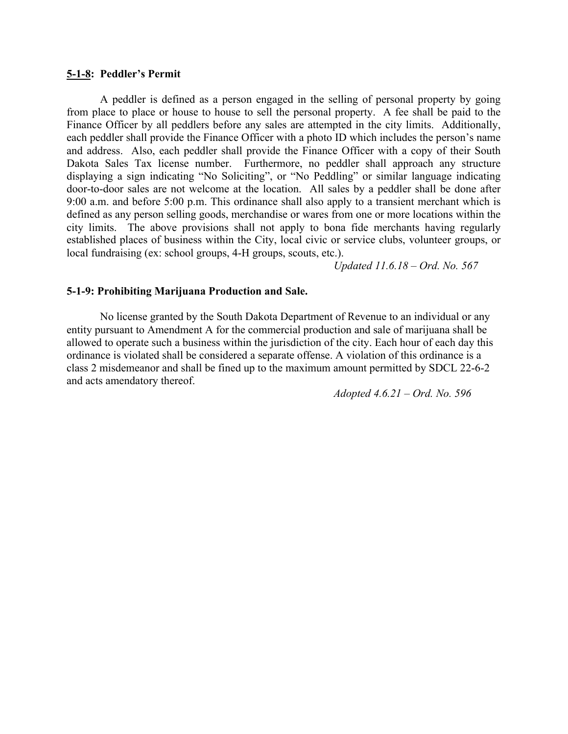#### **5-1-8: Peddler's Permit**

A peddler is defined as a person engaged in the selling of personal property by going from place to place or house to house to sell the personal property. A fee shall be paid to the Finance Officer by all peddlers before any sales are attempted in the city limits. Additionally, each peddler shall provide the Finance Officer with a photo ID which includes the person's name and address. Also, each peddler shall provide the Finance Officer with a copy of their South Dakota Sales Tax license number. Furthermore, no peddler shall approach any structure displaying a sign indicating "No Soliciting", or "No Peddling" or similar language indicating door-to-door sales are not welcome at the location. All sales by a peddler shall be done after 9:00 a.m. and before 5:00 p.m. This ordinance shall also apply to a transient merchant which is defined as any person selling goods, merchandise or wares from one or more locations within the city limits. The above provisions shall not apply to bona fide merchants having regularly established places of business within the City, local civic or service clubs, volunteer groups, or local fundraising (ex: school groups, 4-H groups, scouts, etc.).

*Updated 11.6.18 – Ord. No. 567*

#### **5-1-9: Prohibiting Marijuana Production and Sale.**

No license granted by the South Dakota Department of Revenue to an individual or any entity pursuant to Amendment A for the commercial production and sale of marijuana shall be allowed to operate such a business within the jurisdiction of the city. Each hour of each day this ordinance is violated shall be considered a separate offense. A violation of this ordinance is a class 2 misdemeanor and shall be fined up to the maximum amount permitted by SDCL 22-6-2 and acts amendatory thereof.

*Adopted 4.6.21 – Ord. No. 596*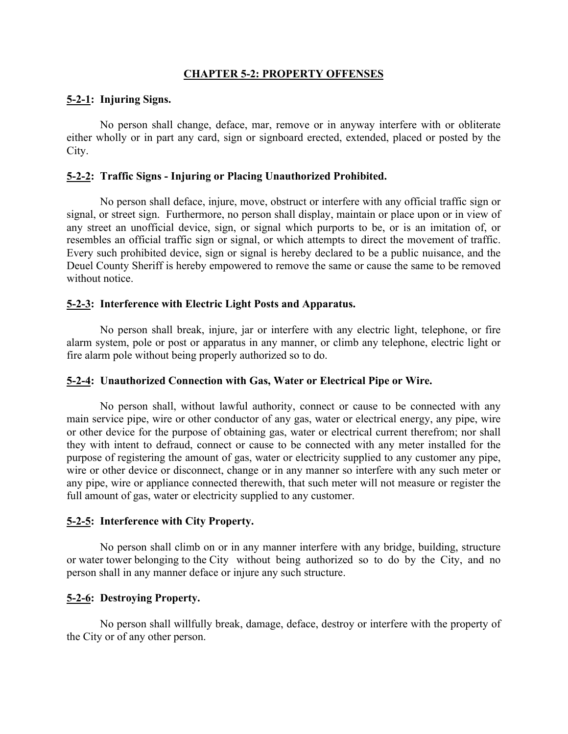# **CHAPTER 5-2: PROPERTY OFFENSES**

# **5-2-1: Injuring Signs.**

No person shall change, deface, mar, remove or in anyway interfere with or obliterate either wholly or in part any card, sign or signboard erected, extended, placed or posted by the City.

# **5-2-2: Traffic Signs - Injuring or Placing Unauthorized Prohibited.**

No person shall deface, injure, move, obstruct or interfere with any official traffic sign or signal, or street sign. Furthermore, no person shall display, maintain or place upon or in view of any street an unofficial device, sign, or signal which purports to be, or is an imitation of, or resembles an official traffic sign or signal, or which attempts to direct the movement of traffic. Every such prohibited device, sign or signal is hereby declared to be a public nuisance, and the Deuel County Sheriff is hereby empowered to remove the same or cause the same to be removed without notice.

# **5-2-3: Interference with Electric Light Posts and Apparatus.**

No person shall break, injure, jar or interfere with any electric light, telephone, or fire alarm system, pole or post or apparatus in any manner, or climb any telephone, electric light or fire alarm pole without being properly authorized so to do.

# **5-2-4: Unauthorized Connection with Gas, Water or Electrical Pipe or Wire.**

No person shall, without lawful authority, connect or cause to be connected with any main service pipe, wire or other conductor of any gas, water or electrical energy, any pipe, wire or other device for the purpose of obtaining gas, water or electrical current therefrom; nor shall they with intent to defraud, connect or cause to be connected with any meter installed for the purpose of registering the amount of gas, water or electricity supplied to any customer any pipe, wire or other device or disconnect, change or in any manner so interfere with any such meter or any pipe, wire or appliance connected therewith, that such meter will not measure or register the full amount of gas, water or electricity supplied to any customer.

# **5-2-5: Interference with City Property.**

No person shall climb on or in any manner interfere with any bridge, building, structure or water tower belonging to the City without being authorized so to do by the City, and no person shall in any manner deface or injure any such structure.

# **5-2-6: Destroying Property.**

No person shall willfully break, damage, deface, destroy or interfere with the property of the City or of any other person.